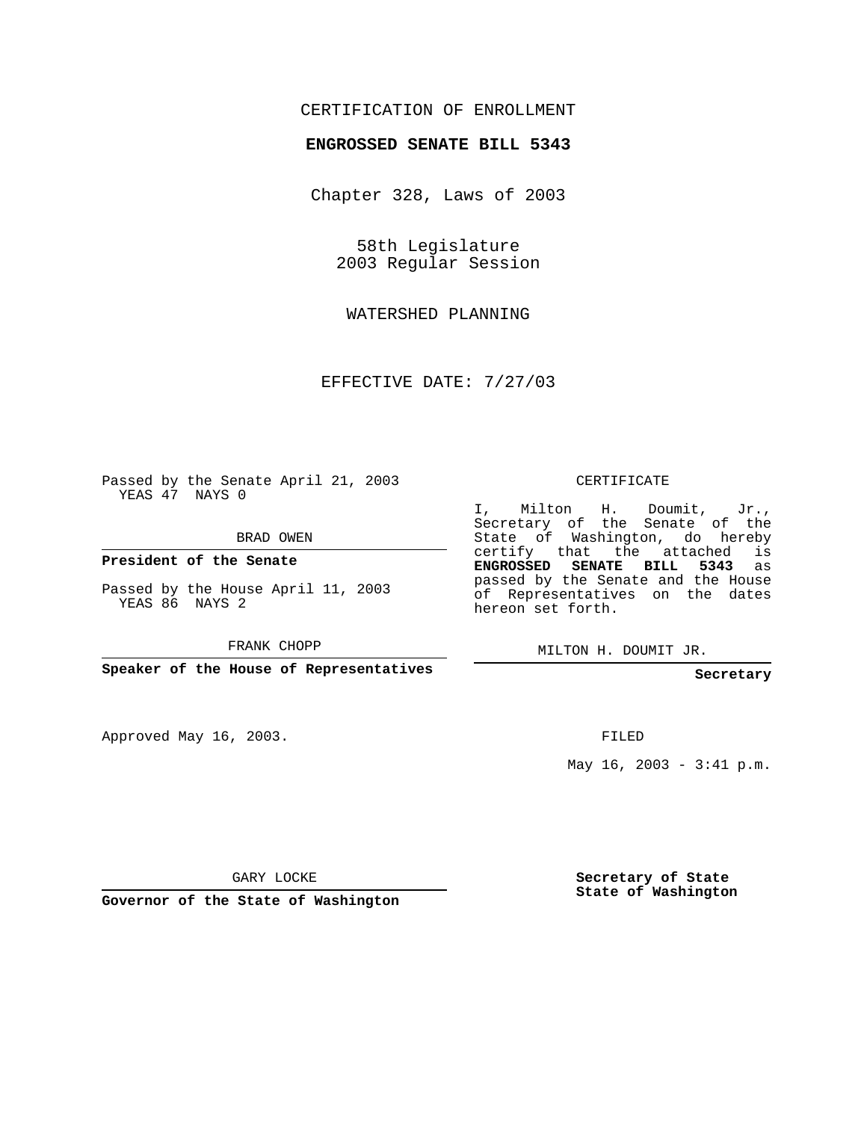## CERTIFICATION OF ENROLLMENT

## **ENGROSSED SENATE BILL 5343**

Chapter 328, Laws of 2003

58th Legislature 2003 Regular Session

WATERSHED PLANNING

EFFECTIVE DATE: 7/27/03

Passed by the Senate April 21, 2003 YEAS 47 NAYS 0

BRAD OWEN

**President of the Senate**

Passed by the House April 11, 2003 YEAS 86 NAYS 2

FRANK CHOPP

**Speaker of the House of Representatives**

Approved May 16, 2003.

CERTIFICATE

I, Milton H. Doumit, Jr., Secretary of the Senate of the State of Washington, do hereby certify that the attached is **ENGROSSED SENATE BILL 5343** as passed by the Senate and the House of Representatives on the dates hereon set forth.

MILTON H. DOUMIT JR.

**Secretary**

FILED

May  $16$ ,  $2003 - 3:41$  p.m.

GARY LOCKE

**Governor of the State of Washington**

**Secretary of State State of Washington**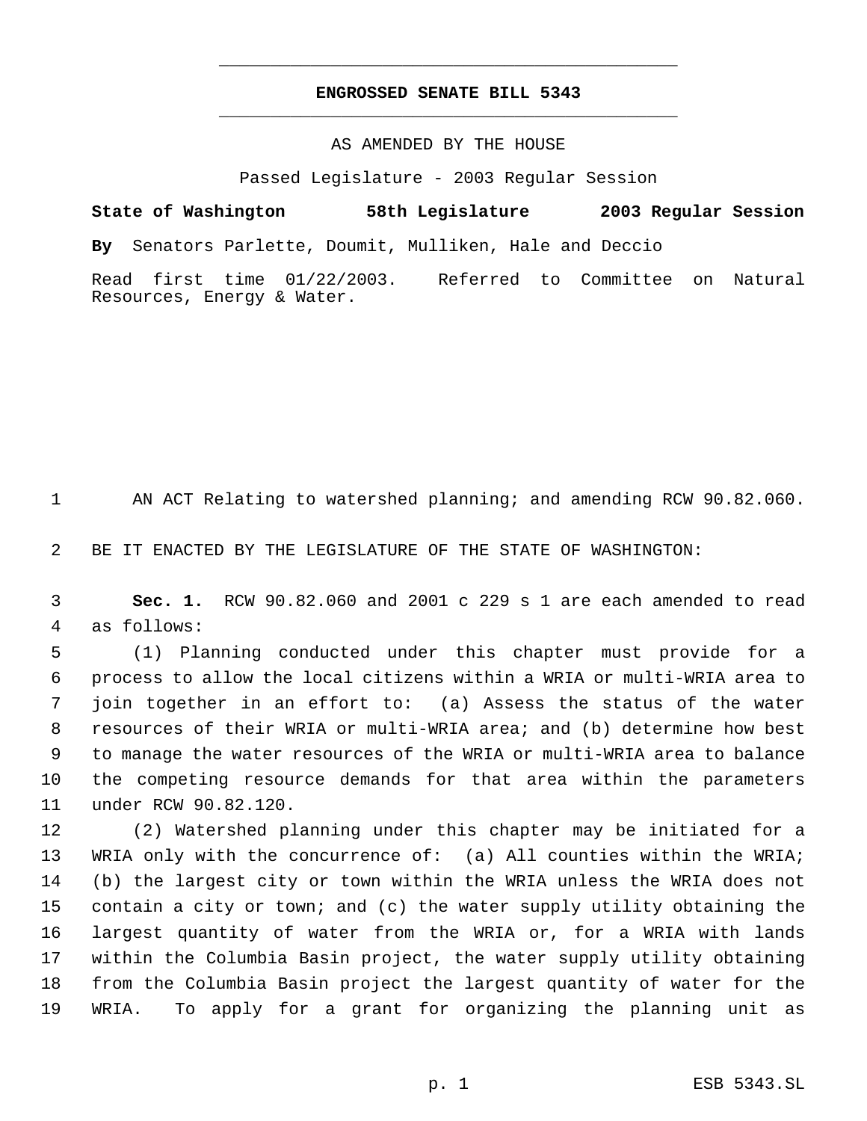## **ENGROSSED SENATE BILL 5343** \_\_\_\_\_\_\_\_\_\_\_\_\_\_\_\_\_\_\_\_\_\_\_\_\_\_\_\_\_\_\_\_\_\_\_\_\_\_\_\_\_\_\_\_\_

\_\_\_\_\_\_\_\_\_\_\_\_\_\_\_\_\_\_\_\_\_\_\_\_\_\_\_\_\_\_\_\_\_\_\_\_\_\_\_\_\_\_\_\_\_

## AS AMENDED BY THE HOUSE

Passed Legislature - 2003 Regular Session

**State of Washington 58th Legislature 2003 Regular Session By** Senators Parlette, Doumit, Mulliken, Hale and Deccio Read first time 01/22/2003. Referred to Committee on Natural Resources, Energy & Water.

AN ACT Relating to watershed planning; and amending RCW 90.82.060.

BE IT ENACTED BY THE LEGISLATURE OF THE STATE OF WASHINGTON:

 **Sec. 1.** RCW 90.82.060 and 2001 c 229 s 1 are each amended to read as follows:

 (1) Planning conducted under this chapter must provide for a process to allow the local citizens within a WRIA or multi-WRIA area to join together in an effort to: (a) Assess the status of the water resources of their WRIA or multi-WRIA area; and (b) determine how best to manage the water resources of the WRIA or multi-WRIA area to balance the competing resource demands for that area within the parameters under RCW 90.82.120.

 (2) Watershed planning under this chapter may be initiated for a WRIA only with the concurrence of: (a) All counties within the WRIA; (b) the largest city or town within the WRIA unless the WRIA does not contain a city or town; and (c) the water supply utility obtaining the largest quantity of water from the WRIA or, for a WRIA with lands within the Columbia Basin project, the water supply utility obtaining from the Columbia Basin project the largest quantity of water for the WRIA. To apply for a grant for organizing the planning unit as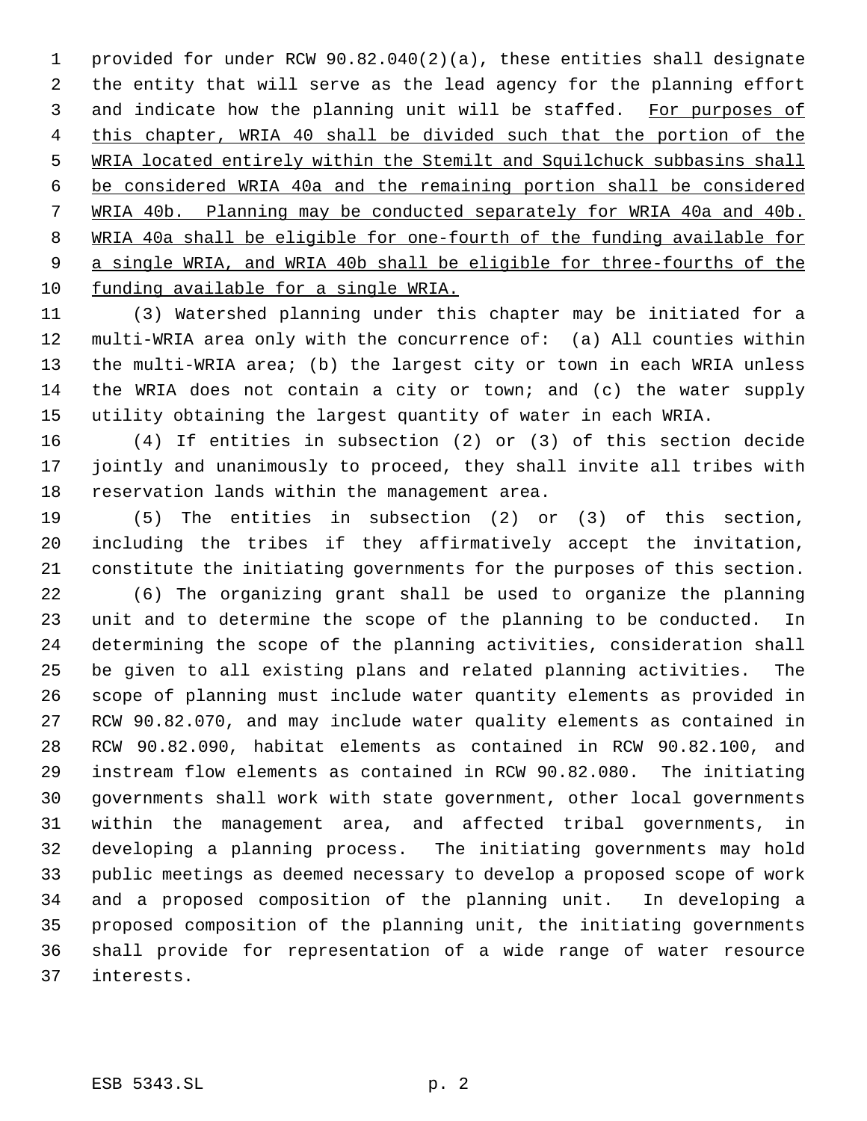provided for under RCW 90.82.040(2)(a), these entities shall designate the entity that will serve as the lead agency for the planning effort and indicate how the planning unit will be staffed. For purposes of this chapter, WRIA 40 shall be divided such that the portion of the WRIA located entirely within the Stemilt and Squilchuck subbasins shall be considered WRIA 40a and the remaining portion shall be considered WRIA 40b. Planning may be conducted separately for WRIA 40a and 40b. WRIA 40a shall be eligible for one-fourth of the funding available for a single WRIA, and WRIA 40b shall be eligible for three-fourths of the funding available for a single WRIA.

 (3) Watershed planning under this chapter may be initiated for a multi-WRIA area only with the concurrence of: (a) All counties within the multi-WRIA area; (b) the largest city or town in each WRIA unless the WRIA does not contain a city or town; and (c) the water supply utility obtaining the largest quantity of water in each WRIA.

 (4) If entities in subsection (2) or (3) of this section decide jointly and unanimously to proceed, they shall invite all tribes with reservation lands within the management area.

 (5) The entities in subsection (2) or (3) of this section, including the tribes if they affirmatively accept the invitation, constitute the initiating governments for the purposes of this section.

 (6) The organizing grant shall be used to organize the planning unit and to determine the scope of the planning to be conducted. In determining the scope of the planning activities, consideration shall be given to all existing plans and related planning activities. The scope of planning must include water quantity elements as provided in RCW 90.82.070, and may include water quality elements as contained in RCW 90.82.090, habitat elements as contained in RCW 90.82.100, and instream flow elements as contained in RCW 90.82.080. The initiating governments shall work with state government, other local governments within the management area, and affected tribal governments, in developing a planning process. The initiating governments may hold public meetings as deemed necessary to develop a proposed scope of work and a proposed composition of the planning unit. In developing a proposed composition of the planning unit, the initiating governments shall provide for representation of a wide range of water resource interests.